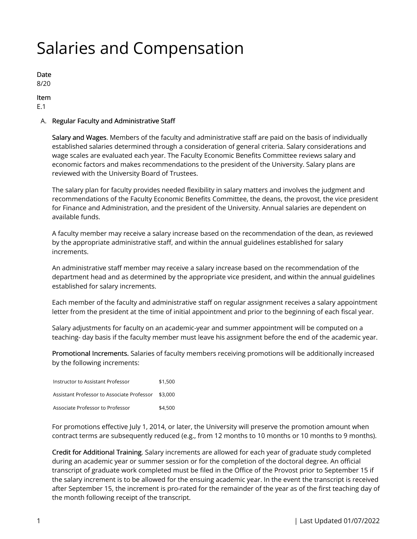# Salaries and Compensation

Date 8/20

Item

E.1

### A. Regular Faculty and Administrative Staff

Salary and Wages. Members of the faculty and administrative staff are paid on the basis of individually established salaries determined through a consideration of general criteria. Salary considerations and wage scales are evaluated each year. The Faculty Economic Benefits Committee reviews salary and economic factors and makes recommendations to the president of the University. Salary plans are reviewed with the University Board of Trustees.

The salary plan for faculty provides needed flexibility in salary matters and involves the judgment and recommendations of the Faculty Economic Benefits Committee, the deans, the provost, the vice president for Finance and Administration, and the president of the University. Annual salaries are dependent on available funds.

A faculty member may receive a salary increase based on the recommendation of the dean, as reviewed by the appropriate administrative staff, and within the annual guidelines established for salary increments.

An administrative staff member may receive a salary increase based on the recommendation of the department head and as determined by the appropriate vice president, and within the annual guidelines established for salary increments.

Each member of the faculty and administrative staff on regular assignment receives a salary appointment letter from the president at the time of initial appointment and prior to the beginning of each fiscal year.

Salary adjustments for faculty on an academic-year and summer appointment will be computed on a teaching- day basis if the faculty member must leave his assignment before the end of the academic year.

Promotional Increments. Salaries of faculty members receiving promotions will be additionally increased by the following increments:

| Instructor to Assistant Professor                  | \$1,500 |
|----------------------------------------------------|---------|
| Assistant Professor to Associate Professor \$3,000 |         |
| Associate Professor to Professor                   | \$4,500 |

For promotions effective July 1, 2014, or later, the University will preserve the promotion amount when contract terms are subsequently reduced (e.g., from 12 months to 10 months or 10 months to 9 months).

Credit for Additional Training. Salary increments are allowed for each year of graduate study completed during an academic year or summer session or for the completion of the doctoral degree. An official transcript of graduate work completed must be filed in the Office of the Provost prior to September 15 if the salary increment is to be allowed for the ensuing academic year. In the event the transcript is received after September 15, the increment is pro-rated for the remainder of the year as of the first teaching day of the month following receipt of the transcript.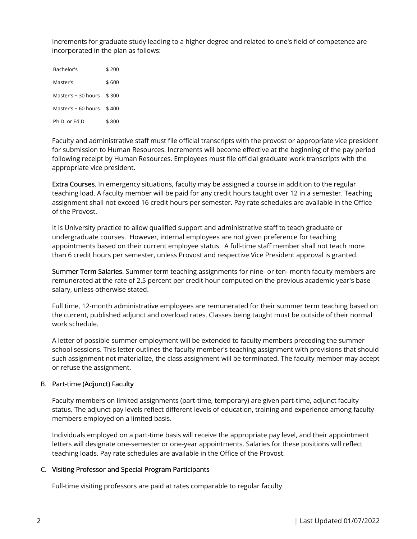Increments for graduate study leading to a higher degree and related to one's field of competence are incorporated in the plan as follows:

| Bachelor's          | \$ 200 |
|---------------------|--------|
| Master's            | \$ 600 |
| Master's + 30 hours | \$300  |
| Master's + 60 hours | \$400  |
| $Ph.D.$ or $Fd.D.$  | \$ 800 |

Faculty and administrative staff must file official transcripts with the provost or appropriate vice president for submission to Human Resources. Increments will become effective at the beginning of the pay period following receipt by Human Resources. Employees must file official graduate work transcripts with the appropriate vice president.

Extra Courses. In emergency situations, faculty may be assigned a course in addition to the regular teaching load. A faculty member will be paid for any credit hours taught over 12 in a semester. Teaching assignment shall not exceed 16 credit hours per semester. Pay rate schedules are available in the Office of the Provost.

It is University practice to allow qualified support and administrative staff to teach graduate or undergraduate courses. However, internal employees are not given preference for teaching appointments based on their current employee status. A full-time staff member shall not teach more than 6 credit hours per semester, unless Provost and respective Vice President approval is granted.

Summer Term Salaries. Summer term teaching assignments for nine- or ten- month faculty members are remunerated at the rate of 2.5 percent per credit hour computed on the previous academic year's base salary, unless otherwise stated.

Full time, 12-month administrative employees are remunerated for their summer term teaching based on the current, published adjunct and overload rates. Classes being taught must be outside of their normal work schedule.

A letter of possible summer employment will be extended to faculty members preceding the summer school sessions. This letter outlines the faculty member's teaching assignment with provisions that should such assignment not materialize, the class assignment will be terminated. The faculty member may accept or refuse the assignment.

## B. Part-time (Adjunct) Faculty

Faculty members on limited assignments (part-time, temporary) are given part-time, adjunct faculty status. The adjunct pay levels reflect different levels of education, training and experience among faculty members employed on a limited basis.

Individuals employed on a part-time basis will receive the appropriate pay level, and their appointment letters will designate one-semester or one-year appointments. Salaries for these positions will reflect teaching loads. Pay rate schedules are available in the Office of the Provost.

#### C. Visiting Professor and Special Program Participants

Full-time visiting professors are paid at rates comparable to regular faculty.